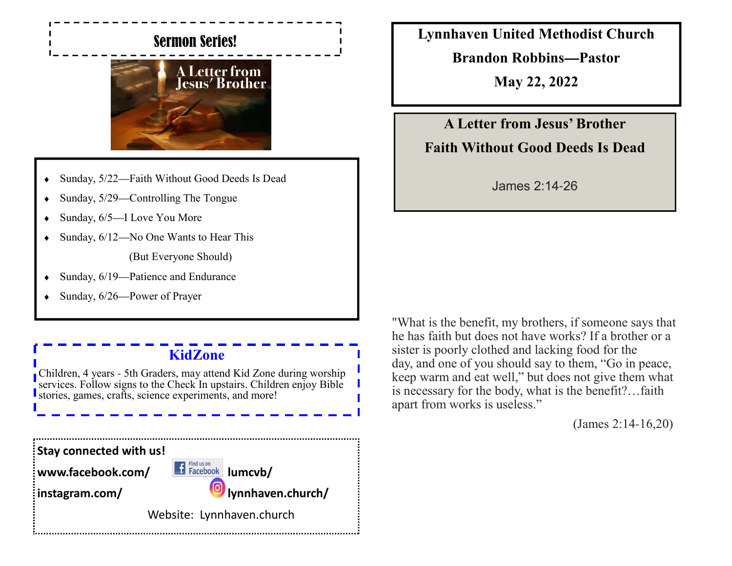# Sermon Series!



- ♦ Sunday, 5/22—Faith Without Good Deeds Is Dead
- Sunday,  $5/29$ —Controlling The Tongue
- $\bullet$  Sunday, 6/5—I Love You More
- Sunday,  $6/12$ —No One Wants to Hear This

(But Everyone Should)

- $\bullet$  Sunday, 6/19—Patience and Endurance
- $\bullet$  Sunday, 6/26—Power of Prayer

# **KidZone**

Children, 4 years - 5th Graders, may attend Kid Zone during worship services. Follow signs to the Check In upstairs. Children enjoy Bible stories, games, crafts, science experiments, and more!

**Lynnhaven United Methodist Church**

**Brandon Robbins—Pastor**

**May 22, 2022**

**A Letter from Jesus' BrotherFaith Without Good Deeds Is Dead**

James 2:14-26

"What is the benefit, my brothers, if someone says that he has faith but does not have works? If a brother or a sister is poorly clothed and lacking food for the day, and one of you should say to them, "Go in peace, keep warm and eat well," but does not give them what is necessary for the body, what is the benefit?…faith apart from works is useless."

(James 2:14-16,20)